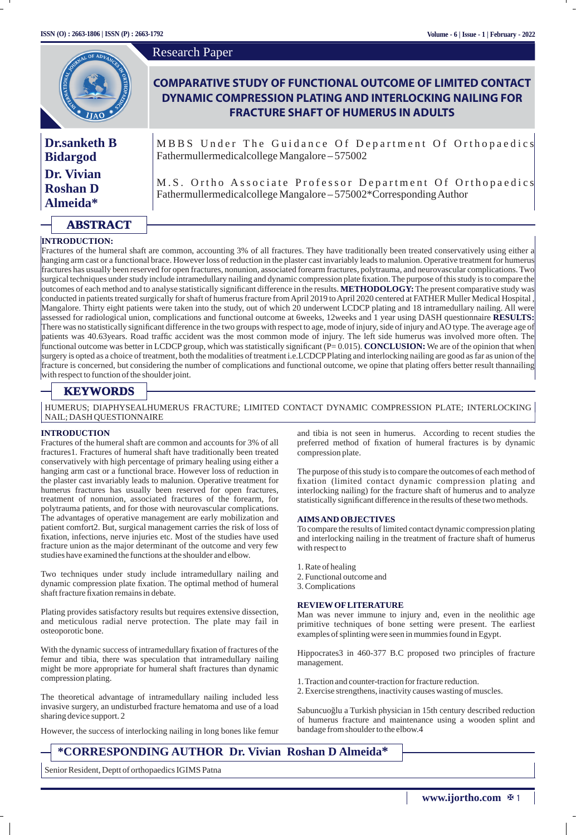|                                           | <b>Research Paper</b>                                                                                                                                                       |
|-------------------------------------------|-----------------------------------------------------------------------------------------------------------------------------------------------------------------------------|
| ANTIQUES OF ADVALUE                       | <b>COMPARATIVE STUDY OF FUNCTIONAL OUTCOME OF LIMITED CONTACT</b><br>DYNAMIC COMPRESSION PLATING AND INTERLOCKING NAILING FOR<br><b>FRACTURE SHAFT OF HUMERUS IN ADULTS</b> |
| <b>Dr.sanketh B</b><br><b>Bidargod</b>    | MBBS Under The Guidance Of Department Of Orthopaedics<br>Fathermullermedicalcollege Mangalore-575002                                                                        |
| Dr. Vivian<br><b>Roshan D</b><br>Almeida* | M.S. Ortho Associate Professor Department Of Orthopaedics<br>Fathermullermedicalcollege Mangalore-575002*Corresponding Author                                               |
|                                           |                                                                                                                                                                             |

#### **INTRODUCTION:**

**ABSTRACT**

Fractures of the humeral shaft are common, accounting 3% of all fractures. They have traditionally been treated conservatively using either a hanging arm cast or a functional brace. However loss of reduction in the plaster cast invariably leads to malunion. Operative treatment for humerus fractures has usually been reserved for open fractures, nonunion, associated forearm fractures, polytrauma, and neurovascular complications. Two surgical techniques under study include intramedullary nailing and dynamic compression plate fixation. The purpose of this study is to compare the outcomes of each method and to analyse statistically signicant difference in the results. **METHODOLOGY:** The present comparative study was conducted in patients treated surgically for shaft of humerus fracture from April 2019 to April 2020 centered at FATHER Muller Medical Hospital , Mangalore. Thirty eight patients were taken into the study, out of which 20 underwent LCDCP plating and 18 intramedullary nailing. All were assessed for radiological union, complications and functional outcome at 6weeks, 12weeks and 1 year using DASH questionnaire **RESULTS:** There was no statistically signicant difference in the two groups with respect to age, mode of injury, side of injury and AO type. The average age of patients was 40.63years. Road traffic accident was the most common mode of injury. The left side humerus was involved more often. The functional outcome was better in LCDCP group, which was statistically signicant (P= 0.015). **CONCLUSION:** We are of the opinion that when surgery is opted as a choice of treatment, both the modalities of treatment i.e.LCDCPPlating and interlocking nailing are good as far as union of the fracture is concerned, but considering the number of complications and functional outcome, we opine that plating offers better result thannailing with respect to function of the shoulder joint.

# **KEYWORDS**

HUMERUS; DIAPHYSEALHUMERUS FRACTURE; LIMITED CONTACT DYNAMIC COMPRESSION PLATE; INTERLOCKING NAIL; DASH QUESTIONNAIRE

### **INTRODUCTION**

Fractures of the humeral shaft are common and accounts for 3% of all fractures1. Fractures of humeral shaft have traditionally been treated conservatively with high percentage of primary healing using either a hanging arm cast or a functional brace. However loss of reduction in the plaster cast invariably leads to malunion. Operative treatment for humerus fractures has usually been reserved for open fractures, treatment of nonunion, associated fractures of the forearm, for polytrauma patients, and for those with neurovascular complications. The advantages of operative management are early mobilization and patient comfort2. But, surgical management carries the risk of loss of xation, infections, nerve injuries etc. Most of the studies have used fracture union as the major determinant of the outcome and very few studies have examined the functions at the shoulder and elbow.

Two techniques under study include intramedullary nailing and dynamic compression plate fixation. The optimal method of humeral shaft fracture fixation remains in debate.

Plating provides satisfactory results but requires extensive dissection, and meticulous radial nerve protection. The plate may fail in osteoporotic bone.

With the dynamic success of intramedullary fixation of fractures of the femur and tibia, there was speculation that intramedullary nailing might be more appropriate for humeral shaft fractures than dynamic compression plating.

The theoretical advantage of intramedullary nailing included less invasive surgery, an undisturbed fracture hematoma and use of a load sharing device support. 2

However, the success of interlocking nailing in long bones like femur

and tibia is not seen in humerus. According to recent studies the preferred method of fixation of humeral fractures is by dynamic compression plate.

The purpose of this study is to compare the outcomes of each method of fixation (limited contact dynamic compression plating and interlocking nailing) for the fracture shaft of humerus and to analyze statistically significant difference in the results of these two methods.

#### **AIMS AND OBJECTIVES**

To compare the results of limited contact dynamic compression plating and interlocking nailing in the treatment of fracture shaft of humerus with respect to

- 1. Rate of healing
- 2. Functional outcome and
- 3. Complications

#### **REVIEWOFLITERATURE**

Man was never immune to injury and, even in the neolithic age primitive techniques of bone setting were present. The earliest examples of splinting were seen in mummies found in Egypt.

Hippocrates3 in 460-377 B.C proposed two principles of fracture management.

- 1. Traction and counter-traction for fracture reduction.
- 2. Exercise strengthens, inactivity causes wasting of muscles.

Sabuncuoğlu a Turkish physician in 15th century described reduction of humerus fracture and maintenance using a wooden splint and bandage from shoulder to the elbow.4

# **\*CORRESPONDING AUTHOR Dr. Vivian Roshan D Almeida\***

Senior Resident, Deptt of orthopaedics IGIMS Patna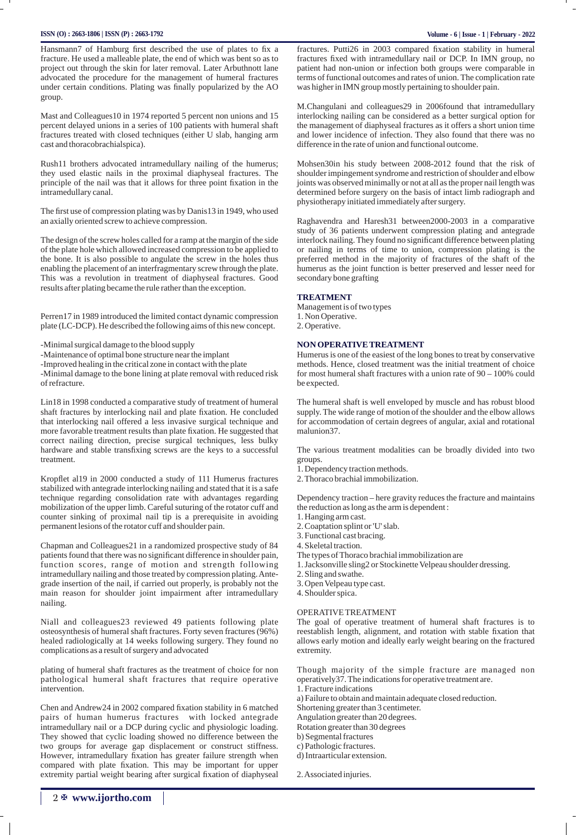### **ISSN (O) : 2663-1806 | ISSN (P) : 2663-1792 Volume - 6 | Issue - 1 | February - 2022**

Hansmann7 of Hamburg first described the use of plates to fix a fracture. He used a malleable plate, the end of which was bent so as to project out through the skin for later removal. Later Arbuthnott lane advocated the procedure for the management of humeral fractures under certain conditions. Plating was finally popularized by the AO group.

Mast and Colleagues10 in 1974 reported 5 percent non unions and 15 percent delayed unions in a series of 100 patients with humeral shaft fractures treated with closed techniques (either U slab, hanging arm cast and thoracobrachialspica).

Rush11 brothers advocated intramedullary nailing of the humerus; they used elastic nails in the proximal diaphyseal fractures. The principle of the nail was that it allows for three point fixation in the intramedullary canal.

The first use of compression plating was by Danis13 in 1949, who used an axially oriented screw to achieve compression.

The design of the screw holes called for a ramp at the margin of the side of the plate hole which allowed increased compression to be applied to the bone. It is also possible to angulate the screw in the holes thus enabling the placement of an interfragmentary screw through the plate. This was a revolution in treatment of diaphyseal fractures. Good results after plating became the rule rather than the exception.

Perren17 in 1989 introduced the limited contact dynamic compression plate (LC-DCP). He described the following aims of this new concept.

-Minimal surgical damage to the blood supply

-Maintenance of optimal bone structure near the implant

-Improved healing in the critical zone in contact with the plate

-Minimal damage to the bone lining at plate removal with reduced risk of refracture.

Lin18 in 1998 conducted a comparative study of treatment of humeral shaft fractures by interlocking nail and plate fixation. He concluded that interlocking nail offered a less invasive surgical technique and more favorable treatment results than plate fixation. He suggested that correct nailing direction, precise surgical techniques, less bulky hardware and stable transfixing screws are the keys to a successful treatment.

Kropflet al19 in 2000 conducted a study of 111 Humerus fractures stabilized with antegrade interlocking nailing and stated that it is a safe technique regarding consolidation rate with advantages regarding mobilization of the upper limb. Careful suturing of the rotator cuff and counter sinking of proximal nail tip is a prerequisite in avoiding permanent lesions of the rotator cuff and shoulder pain.

Chapman and Colleagues21 in a randomized prospective study of 84 patients found that there was no signicant difference in shoulder pain, function scores, range of motion and strength following intramedullary nailing and those treated by compression plating. Antegrade insertion of the nail, if carried out properly, is probably not the main reason for shoulder joint impairment after intramedullary nailing.

Niall and colleagues23 reviewed 49 patients following plate osteosynthesis of humeral shaft fractures. Forty seven fractures (96%) healed radiologically at 14 weeks following surgery. They found no complications as a result of surgery and advocated

plating of humeral shaft fractures as the treatment of choice for non pathological humeral shaft fractures that require operative intervention.

Chen and Andrew24 in 2002 compared fixation stability in 6 matched pairs of human humerus fractures with locked antegrade intramedullary nail or a DCP during cyclic and physiologic loading. They showed that cyclic loading showed no difference between the two groups for average gap displacement or construct stiffness. However, intramedullary fixation has greater failure strength when compared with plate fixation. This may be important for upper extremity partial weight bearing after surgical fixation of diaphyseal

fractures. Putti26 in 2003 compared fixation stability in humeral fractures fixed with intramedullary nail or DCP. In IMN group, no patient had non-union or infection both groups were comparable in terms of functional outcomes and rates of union. The complication rate was higher in IMN group mostly pertaining to shoulder pain.

M.Changulani and colleagues29 in 2006found that intramedullary interlocking nailing can be considered as a better surgical option for the management of diaphyseal fractures as it offers a short union time and lower incidence of infection. They also found that there was no difference in the rate of union and functional outcome.

Mohsen30in his study between 2008-2012 found that the risk of shoulder impingement syndrome and restriction of shoulder and elbow joints was observed minimally or not at all as the proper nail length was determined before surgery on the basis of intact limb radiograph and physiotherapy initiated immediately after surgery.

Raghavendra and Haresh31 between2000-2003 in a comparative study of 36 patients underwent compression plating and antegrade interlock nailing. They found no significant difference between plating or nailing in terms of time to union, compression plating is the preferred method in the majority of fractures of the shaft of the humerus as the joint function is better preserved and lesser need for secondary bone grafting

### **TREATMENT**

Management is of two types 1. Non Operative. 2. Operative.

### **NON OPERATIVE TREATMENT**

Humerus is one of the easiest of the long bones to treat by conservative methods. Hence, closed treatment was the initial treatment of choice for most humeral shaft fractures with a union rate of 90 – 100% could be expected.

The humeral shaft is well enveloped by muscle and has robust blood supply. The wide range of motion of the shoulder and the elbow allows for accommodation of certain degrees of angular, axial and rotational malunion37.

The various treatment modalities can be broadly divided into two groups.

1. Dependency traction methods.

2. Thoraco brachial immobilization.

Dependency traction – here gravity reduces the fracture and maintains the reduction as long as the arm is dependent :

1. Hanging arm cast.

- 2. Coaptation splint or 'U' slab.
- 3. Functional cast bracing.

4. Skeletal traction.

- The types of Thoraco brachial immobilization are
- 1. Jacksonville sling2 or Stockinette Velpeau shoulder dressing.
- 2. Sling and swathe.

3. Open Velpeau type cast.

4. Shoulder spica.

## OPERATIVE TREATMENT

The goal of operative treatment of humeral shaft fractures is to reestablish length, alignment, and rotation with stable fixation that allows early motion and ideally early weight bearing on the fractured extremity.

Though majority of the simple fracture are managed non operatively37. The indications for operative treatment are.

1. Fracture indications

a) Failure to obtain and maintain adequate closed reduction.

Shortening greater than 3 centimeter.

Angulation greater than 20 degrees.

Rotation greater than 30 degrees

b) Segmental fractures

- c) Pathologic fractures.
- d) Intraarticular extension.

2. Associated injuries.